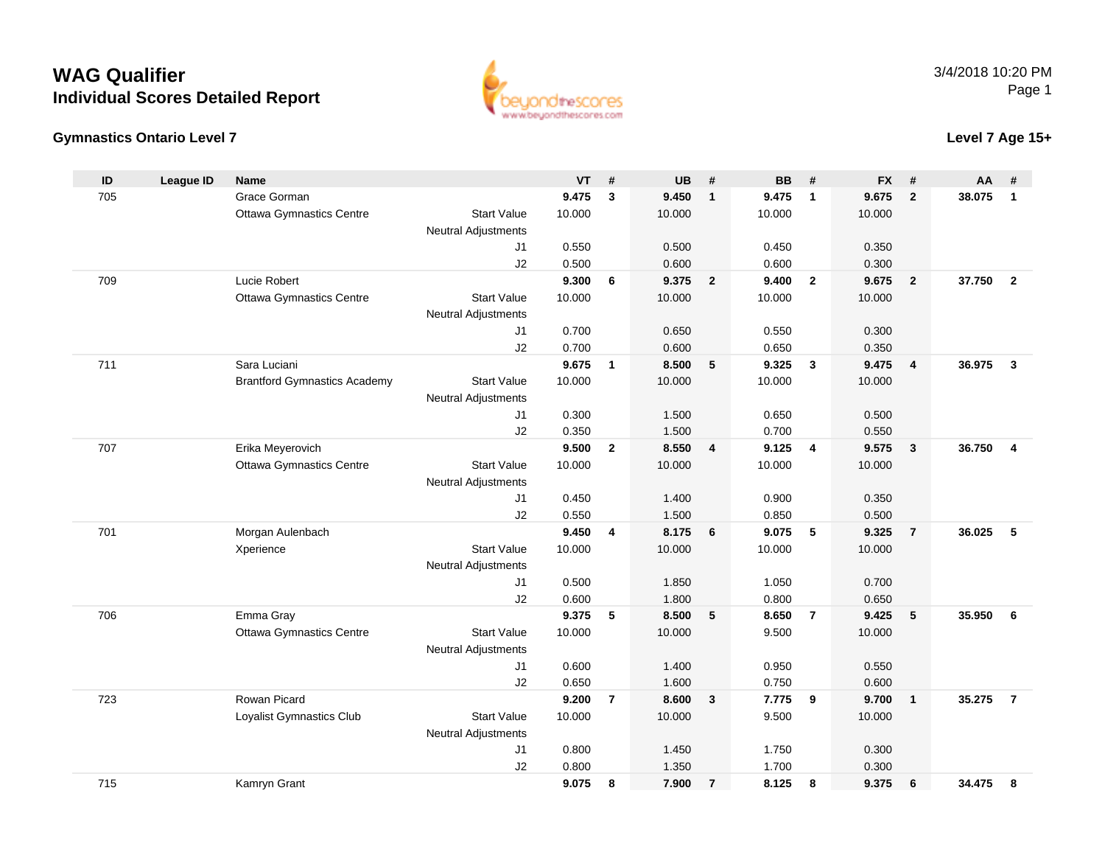### **Gymnastics Ontario Level 7**

3/4/2018 10:20 PMPage 1

**Level 7 Age 15+**

| ID  | <b>League ID</b> | <b>Name</b>                         |                            | <b>VT</b>      | #              | <b>UB</b>      | #              | <b>BB</b>      | #              | <b>FX</b>      | #                       | AA     | #                       |
|-----|------------------|-------------------------------------|----------------------------|----------------|----------------|----------------|----------------|----------------|----------------|----------------|-------------------------|--------|-------------------------|
| 705 |                  | Grace Gorman                        |                            | 9.475          | 3              | 9.450          | $\mathbf{1}$   | 9.475          | $\overline{1}$ | 9.675          | $\overline{2}$          | 38.075 | $\overline{\mathbf{1}}$ |
|     |                  | <b>Ottawa Gymnastics Centre</b>     | <b>Start Value</b>         | 10.000         |                | 10.000         |                | 10.000         |                | 10.000         |                         |        |                         |
|     |                  |                                     | <b>Neutral Adjustments</b> |                |                |                |                |                |                |                |                         |        |                         |
|     |                  |                                     | J1                         | 0.550          |                | 0.500          |                | 0.450          |                | 0.350          |                         |        |                         |
|     |                  |                                     | J2                         | 0.500          |                | 0.600          |                | 0.600          |                | 0.300          |                         |        |                         |
| 709 |                  | Lucie Robert                        |                            | 9.300          | 6              | 9.375          | $\mathbf{2}$   | 9.400          | $\overline{2}$ | 9.675          | $\overline{\mathbf{2}}$ | 37.750 | $\overline{\mathbf{2}}$ |
|     |                  | <b>Ottawa Gymnastics Centre</b>     | <b>Start Value</b>         | 10.000         |                | 10.000         |                | 10.000         |                | 10.000         |                         |        |                         |
|     |                  |                                     | Neutral Adjustments        |                |                |                |                |                |                |                |                         |        |                         |
|     |                  |                                     | J1                         | 0.700          |                | 0.650          |                | 0.550          |                | 0.300          |                         |        |                         |
|     |                  |                                     | J <sub>2</sub>             | 0.700          |                | 0.600          |                | 0.650          |                | 0.350          |                         |        |                         |
| 711 |                  | Sara Luciani                        |                            | 9.675          | $\mathbf{1}$   | 8.500          | 5              | 9.325          | $\mathbf{3}$   | 9.475          | $\overline{4}$          | 36.975 | $\mathbf{3}$            |
|     |                  | <b>Brantford Gymnastics Academy</b> | <b>Start Value</b>         | 10.000         |                | 10.000         |                | 10.000         |                | 10.000         |                         |        |                         |
|     |                  |                                     | <b>Neutral Adjustments</b> |                |                |                |                |                |                |                |                         |        |                         |
|     |                  |                                     | J1                         | 0.300          |                | 1.500          |                | 0.650          |                | 0.500          |                         |        |                         |
|     |                  |                                     | J2                         | 0.350          |                | 1.500          |                | 0.700          |                | 0.550          |                         |        |                         |
| 707 |                  | Erika Meyerovich                    |                            | 9.500          | $\mathbf{2}$   | 8.550          | 4              | 9.125          | 4              | 9.575          | $\overline{\mathbf{3}}$ | 36.750 | $\overline{4}$          |
|     |                  | <b>Ottawa Gymnastics Centre</b>     | <b>Start Value</b>         | 10.000         |                | 10.000         |                | 10.000         |                | 10.000         |                         |        |                         |
|     |                  |                                     | <b>Neutral Adjustments</b> | 0.450          |                | 1.400          |                |                |                |                |                         |        |                         |
|     |                  |                                     | J1                         |                |                |                |                | 0.900          |                | 0.350          |                         |        |                         |
| 701 |                  | Morgan Aulenbach                    | J2                         | 0.550<br>9.450 | 4              | 1.500<br>8.175 | 6              | 0.850<br>9.075 | 5              | 0.500<br>9.325 | $\overline{7}$          | 36.025 | -5                      |
|     |                  | Xperience                           | <b>Start Value</b>         | 10.000         |                | 10.000         |                | 10.000         |                | 10.000         |                         |        |                         |
|     |                  |                                     | <b>Neutral Adjustments</b> |                |                |                |                |                |                |                |                         |        |                         |
|     |                  |                                     | J <sub>1</sub>             | 0.500          |                | 1.850          |                | 1.050          |                | 0.700          |                         |        |                         |
|     |                  |                                     | J2                         | 0.600          |                | 1.800          |                | 0.800          |                | 0.650          |                         |        |                         |
| 706 |                  | Emma Gray                           |                            | 9.375          | 5              | 8.500          | 5              | 8.650          | $\overline{7}$ | 9.425          | 5                       | 35.950 | - 6                     |
|     |                  | <b>Ottawa Gymnastics Centre</b>     | <b>Start Value</b>         | 10.000         |                | 10.000         |                | 9.500          |                | 10.000         |                         |        |                         |
|     |                  |                                     | Neutral Adjustments        |                |                |                |                |                |                |                |                         |        |                         |
|     |                  |                                     | J <sub>1</sub>             | 0.600          |                | 1.400          |                | 0.950          |                | 0.550          |                         |        |                         |
|     |                  |                                     | J2                         | 0.650          |                | 1.600          |                | 0.750          |                | 0.600          |                         |        |                         |
| 723 |                  | Rowan Picard                        |                            | 9.200          | $\overline{7}$ | 8.600          | 3              | 7.775          | 9              | 9.700          | $\overline{1}$          | 35.275 | $\overline{7}$          |
|     |                  | Loyalist Gymnastics Club            | <b>Start Value</b>         | 10.000         |                | 10.000         |                | 9.500          |                | 10.000         |                         |        |                         |
|     |                  |                                     | <b>Neutral Adjustments</b> |                |                |                |                |                |                |                |                         |        |                         |
|     |                  |                                     | J1                         | 0.800          |                | 1.450          |                | 1.750          |                | 0.300          |                         |        |                         |
|     |                  |                                     | J2                         | 0.800          |                | 1.350          |                | 1.700          |                | 0.300          |                         |        |                         |
| 715 |                  | Kamryn Grant                        |                            | 9.075          | 8              | 7.900          | $\overline{7}$ | 8.125          | 8              | 9.375          | 6                       | 34.475 | 8                       |

www.beyondthescores.com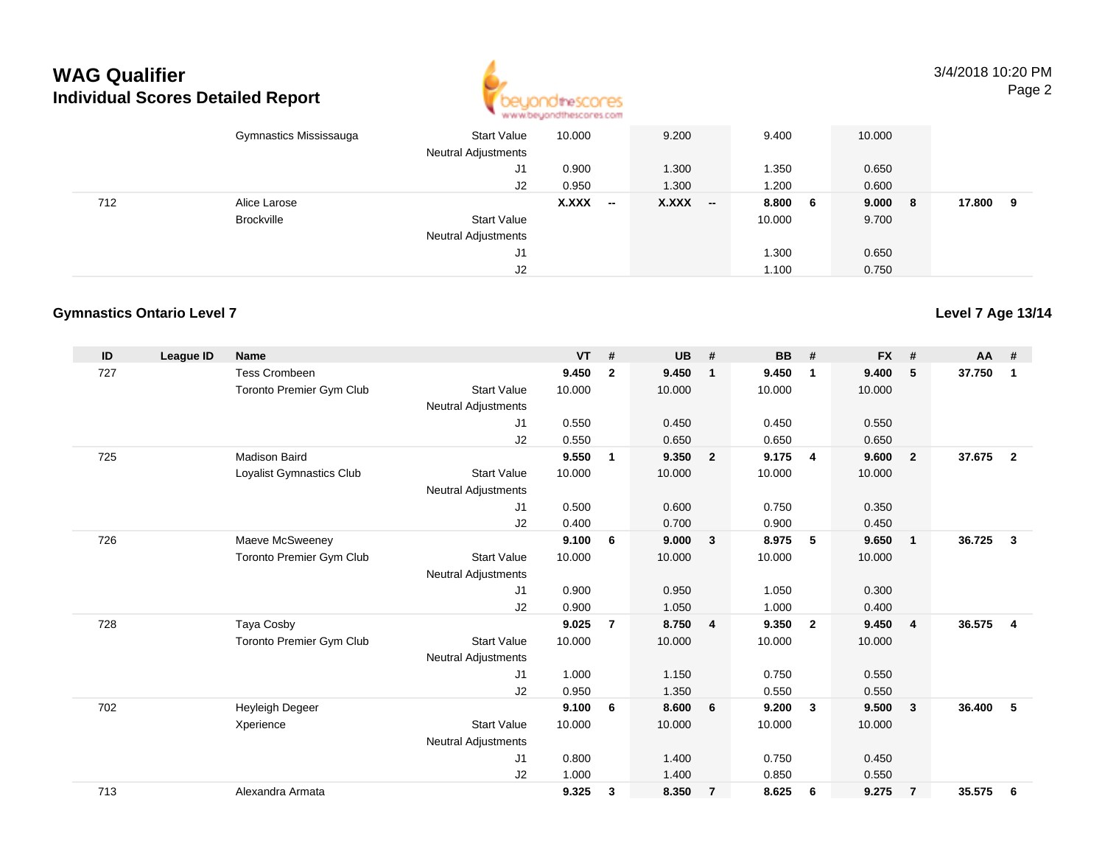

3/4/2018 10:20 PMPage 2

|     | Gymnastics Mississauga | <b>Start Value</b><br><b>Neutral Adjustments</b> | 10.000 | 9.200                                 | 9.400  |     | 10.000 |   |        |   |
|-----|------------------------|--------------------------------------------------|--------|---------------------------------------|--------|-----|--------|---|--------|---|
|     |                        | J1                                               | 0.900  | 1.300                                 | 1.350  |     | 0.650  |   |        |   |
|     |                        | J2                                               | 0.950  | 1.300                                 | 1.200  |     | 0.600  |   |        |   |
| 712 | Alice Larose           |                                                  | X.XXX  | $X.XXX$ -<br>$\overline{\phantom{a}}$ | 8.800  | - 6 | 9.000  | 8 | 17.800 | 9 |
|     | <b>Brockville</b>      | <b>Start Value</b>                               |        |                                       | 10.000 |     | 9.700  |   |        |   |
|     |                        | <b>Neutral Adjustments</b>                       |        |                                       |        |     |        |   |        |   |
|     |                        | J1                                               |        |                                       | 1.300  |     | 0.650  |   |        |   |
|     |                        | J2                                               |        |                                       | 1.100  |     | 0.750  |   |        |   |

### **Gymnastics Ontario Level 7**

| ID  | League ID | <b>Name</b>              |                            | <b>VT</b> | #              | <b>UB</b> | #              | <b>BB</b> | #              | <b>FX</b> | #              | <b>AA</b> | #              |
|-----|-----------|--------------------------|----------------------------|-----------|----------------|-----------|----------------|-----------|----------------|-----------|----------------|-----------|----------------|
| 727 |           | <b>Tess Crombeen</b>     |                            | 9.450     | $\mathbf{2}$   | 9.450     | -1             | 9.450     | $\mathbf 1$    | 9.400     | 5              | 37.750    | 1              |
|     |           | Toronto Premier Gym Club | <b>Start Value</b>         | 10.000    |                | 10.000    |                | 10.000    |                | 10.000    |                |           |                |
|     |           |                          | <b>Neutral Adjustments</b> |           |                |           |                |           |                |           |                |           |                |
|     |           |                          | J1                         | 0.550     |                | 0.450     |                | 0.450     |                | 0.550     |                |           |                |
|     |           |                          | J2                         | 0.550     |                | 0.650     |                | 0.650     |                | 0.650     |                |           |                |
| 725 |           | <b>Madison Baird</b>     |                            | 9.550     | $\mathbf{1}$   | 9.350     | $\overline{2}$ | 9.175     | $\overline{4}$ | 9.600     | $\overline{2}$ | 37.675    | $\overline{2}$ |
|     |           | Loyalist Gymnastics Club | <b>Start Value</b>         | 10.000    |                | 10.000    |                | 10.000    |                | 10.000    |                |           |                |
|     |           |                          | <b>Neutral Adjustments</b> |           |                |           |                |           |                |           |                |           |                |
|     |           |                          | J1                         | 0.500     |                | 0.600     |                | 0.750     |                | 0.350     |                |           |                |
|     |           |                          | J2                         | 0.400     |                | 0.700     |                | 0.900     |                | 0.450     |                |           |                |
| 726 |           | Maeve McSweeney          |                            | 9.100     | 6              | 9.000     | $\mathbf{3}$   | 8.975     | 5              | 9.650     | $\mathbf{1}$   | 36.725    | 3              |
|     |           | Toronto Premier Gym Club | <b>Start Value</b>         | 10.000    |                | 10.000    |                | 10.000    |                | 10.000    |                |           |                |
|     |           |                          | <b>Neutral Adjustments</b> |           |                |           |                |           |                |           |                |           |                |
|     |           |                          | J1                         | 0.900     |                | 0.950     |                | 1.050     |                | 0.300     |                |           |                |
|     |           |                          | J2                         | 0.900     |                | 1.050     |                | 1.000     |                | 0.400     |                |           |                |
| 728 |           | Taya Cosby               |                            | 9.025     | $\overline{7}$ | 8.750     | $\overline{4}$ | 9.350     | $\overline{2}$ | 9.450     | $\overline{4}$ | 36.575    | $\overline{4}$ |
|     |           | Toronto Premier Gym Club | <b>Start Value</b>         | 10.000    |                | 10.000    |                | 10.000    |                | 10.000    |                |           |                |
|     |           |                          | <b>Neutral Adjustments</b> |           |                |           |                |           |                |           |                |           |                |
|     |           |                          | J1                         | 1.000     |                | 1.150     |                | 0.750     |                | 0.550     |                |           |                |
|     |           |                          | J2                         | 0.950     |                | 1.350     |                | 0.550     |                | 0.550     |                |           |                |
| 702 |           | Heyleigh Degeer          |                            | 9.100     | 6              | 8.600     | 6              | 9.200     | $\mathbf{3}$   | 9.500     | $\mathbf{3}$   | 36,400    | 5              |
|     |           | Xperience                | <b>Start Value</b>         | 10.000    |                | 10.000    |                | 10.000    |                | 10.000    |                |           |                |
|     |           |                          | <b>Neutral Adjustments</b> |           |                |           |                |           |                |           |                |           |                |
|     |           |                          | J1                         | 0.800     |                | 1.400     |                | 0.750     |                | 0.450     |                |           |                |
|     |           |                          | J <sub>2</sub>             | 1.000     |                | 1.400     |                | 0.850     |                | 0.550     |                |           |                |
| 713 |           | Alexandra Armata         |                            | 9.325     | 3              | 8.350     | $\overline{7}$ | 8.625     | 6              | 9.275     | $\overline{7}$ | 35.575    | 6              |
|     |           |                          |                            |           |                |           |                |           |                |           |                |           |                |

**Level 7 Age 13/14**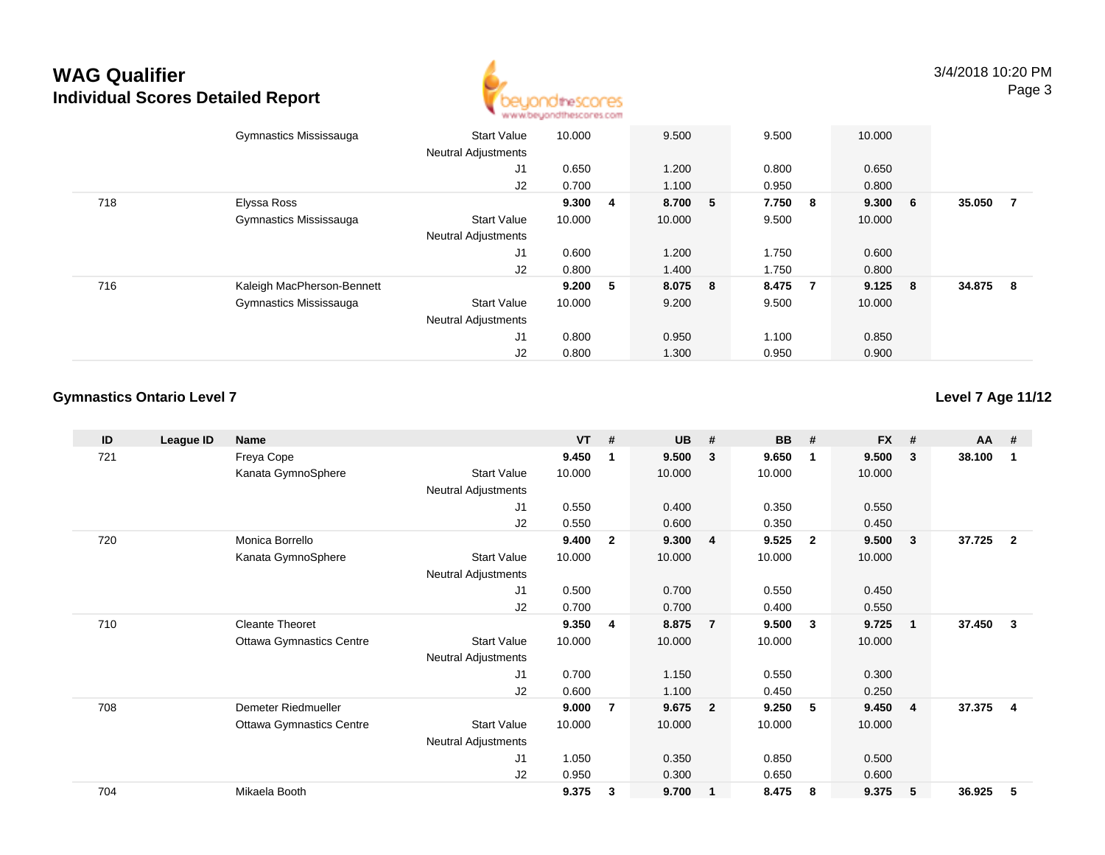

|     | Gymnastics Mississauga     | <b>Start Value</b><br><b>Neutral Adjustments</b> | 10.000 |    | 9.500   | 9.500   |                | 10.000  |     |        |                |
|-----|----------------------------|--------------------------------------------------|--------|----|---------|---------|----------------|---------|-----|--------|----------------|
|     |                            | J1                                               | 0.650  |    | 1.200   | 0.800   |                | 0.650   |     |        |                |
|     |                            | J2                                               | 0.700  |    | 1.100   | 0.950   |                | 0.800   |     |        |                |
| 718 | Elyssa Ross                |                                                  | 9.300  | -4 | 8.700 5 | 7.750 8 |                | 9.300 6 |     | 35.050 | $\overline{7}$ |
|     | Gymnastics Mississauga     | <b>Start Value</b>                               | 10.000 |    | 10.000  | 9.500   |                | 10.000  |     |        |                |
|     |                            | <b>Neutral Adjustments</b>                       |        |    |         |         |                |         |     |        |                |
|     |                            | J1                                               | 0.600  |    | 1.200   | 1.750   |                | 0.600   |     |        |                |
|     |                            | J2                                               | 0.800  |    | 1.400   | 1.750   |                | 0.800   |     |        |                |
| 716 | Kaleigh MacPherson-Bennett |                                                  | 9.200  | 5  | 8.075 8 | 8.475   | $\overline{7}$ | 9.125   | - 8 | 34.875 | - 8            |
|     | Gymnastics Mississauga     | <b>Start Value</b>                               | 10.000 |    | 9.200   | 9.500   |                | 10.000  |     |        |                |
|     |                            | <b>Neutral Adjustments</b>                       |        |    |         |         |                |         |     |        |                |
|     |                            | J <sub>1</sub>                                   | 0.800  |    | 0.950   | 1.100   |                | 0.850   |     |        |                |
|     |                            | J2                                               | 0.800  |    | 1.300   | 0.950   |                | 0.900   |     |        |                |

### **Gymnastics Ontario Level 7**

### **Level 7 Age 11/12**

| ID  | League ID | Name                            |                     | <b>VT</b> | #              | <b>UB</b> | #              | <b>BB</b> | #              | <b>FX</b> | #                       | <b>AA</b> | #            |
|-----|-----------|---------------------------------|---------------------|-----------|----------------|-----------|----------------|-----------|----------------|-----------|-------------------------|-----------|--------------|
| 721 |           | Freya Cope                      |                     | 9.450     | 1              | 9.500     | $\mathbf{3}$   | 9.650     | -1             | 9.500     | 3                       | 38.100    | -1           |
|     |           | Kanata GymnoSphere              | <b>Start Value</b>  | 10.000    |                | 10.000    |                | 10.000    |                | 10.000    |                         |           |              |
|     |           |                                 | Neutral Adjustments |           |                |           |                |           |                |           |                         |           |              |
|     |           |                                 | J1                  | 0.550     |                | 0.400     |                | 0.350     |                | 0.550     |                         |           |              |
|     |           |                                 | J2                  | 0.550     |                | 0.600     |                | 0.350     |                | 0.450     |                         |           |              |
| 720 |           | Monica Borrello                 |                     | 9.400     | $\overline{2}$ | 9.300     | $\overline{4}$ | 9.525     | $\overline{2}$ | 9.500     | 3                       | 37.725    | $\mathbf{2}$ |
|     |           | Kanata GymnoSphere              | <b>Start Value</b>  | 10.000    |                | 10.000    |                | 10.000    |                | 10.000    |                         |           |              |
|     |           |                                 | Neutral Adjustments |           |                |           |                |           |                |           |                         |           |              |
|     |           |                                 | J <sub>1</sub>      | 0.500     |                | 0.700     |                | 0.550     |                | 0.450     |                         |           |              |
|     |           |                                 | J2                  | 0.700     |                | 0.700     |                | 0.400     |                | 0.550     |                         |           |              |
| 710 |           | <b>Cleante Theoret</b>          |                     | 9.350     | 4              | 8.875     | $\overline{7}$ | 9.500     | - 3            | 9.725     | $\overline{\mathbf{1}}$ | 37.450    | 3            |
|     |           | <b>Ottawa Gymnastics Centre</b> | <b>Start Value</b>  | 10.000    |                | 10.000    |                | 10.000    |                | 10.000    |                         |           |              |
|     |           |                                 | Neutral Adjustments |           |                |           |                |           |                |           |                         |           |              |
|     |           |                                 | J <sub>1</sub>      | 0.700     |                | 1.150     |                | 0.550     |                | 0.300     |                         |           |              |
|     |           |                                 | J2                  | 0.600     |                | 1.100     |                | 0.450     |                | 0.250     |                         |           |              |
| 708 |           | Demeter Riedmueller             |                     | 9.000     | 7              | 9.675     | $\overline{2}$ | 9.250     | 5              | 9.450     | $\overline{4}$          | 37.375    | 4            |
|     |           | <b>Ottawa Gymnastics Centre</b> | <b>Start Value</b>  | 10.000    |                | 10.000    |                | 10.000    |                | 10.000    |                         |           |              |
|     |           |                                 | Neutral Adjustments |           |                |           |                |           |                |           |                         |           |              |
|     |           |                                 | J1                  | 1.050     |                | 0.350     |                | 0.850     |                | 0.500     |                         |           |              |
|     |           |                                 | J2                  | 0.950     |                | 0.300     |                | 0.650     |                | 0.600     |                         |           |              |
| 704 |           | Mikaela Booth                   |                     | 9.375     | 3              | 9.700     | $\mathbf{1}$   | 8.475     | 8              | 9.375     | 5                       | 36.925    | 5            |
|     |           |                                 |                     |           |                |           |                |           |                |           |                         |           |              |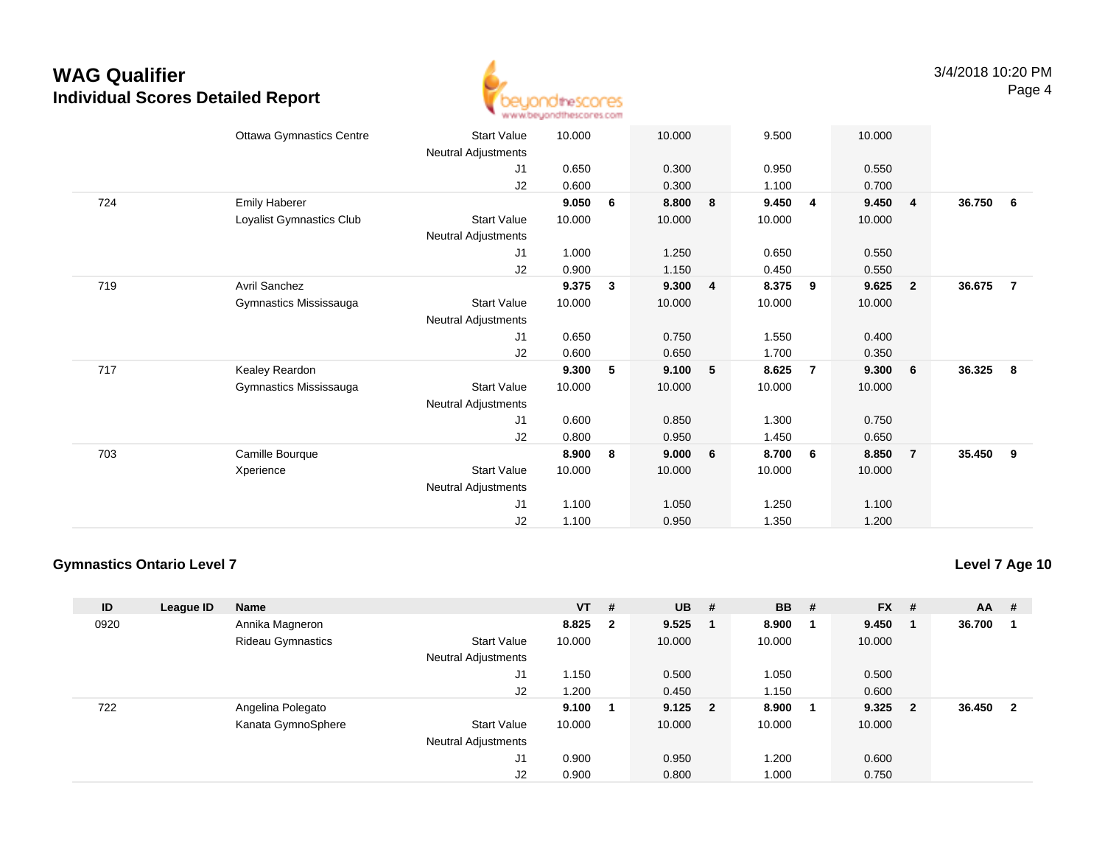

|     | <b>Ottawa Gymnastics Centre</b><br><b>Start Value</b> | 10.000 | 10.000     |   | 9.500  |   | 10.000 |                         |        |                |
|-----|-------------------------------------------------------|--------|------------|---|--------|---|--------|-------------------------|--------|----------------|
|     | Neutral Adjustments                                   |        |            |   |        |   |        |                         |        |                |
|     | J1                                                    | 0.650  | 0.300      |   | 0.950  |   | 0.550  |                         |        |                |
|     | J2                                                    | 0.600  | 0.300      |   | 1.100  |   | 0.700  |                         |        |                |
| 724 | <b>Emily Haberer</b>                                  | 9.050  | 8.800<br>6 | 8 | 9.450  | 4 | 9.450  | $\overline{\mathbf{4}}$ | 36.750 | - 6            |
|     | Loyalist Gymnastics Club<br><b>Start Value</b>        | 10.000 | 10.000     |   | 10.000 |   | 10.000 |                         |        |                |
|     | Neutral Adjustments                                   |        |            |   |        |   |        |                         |        |                |
|     | J1                                                    | 1.000  | 1.250      |   | 0.650  |   | 0.550  |                         |        |                |
|     | J2                                                    | 0.900  | 1.150      |   | 0.450  |   | 0.550  |                         |        |                |
| 719 | <b>Avril Sanchez</b>                                  | 9.375  | 9.300<br>3 | 4 | 8.375  | 9 | 9.625  | $\overline{\mathbf{2}}$ | 36.675 | $\overline{7}$ |
|     | Gymnastics Mississauga<br><b>Start Value</b>          | 10.000 | 10.000     |   | 10.000 |   | 10.000 |                         |        |                |
|     | <b>Neutral Adjustments</b>                            |        |            |   |        |   |        |                         |        |                |
|     | J1                                                    | 0.650  | 0.750      |   | 1.550  |   | 0.400  |                         |        |                |
|     | J2                                                    | 0.600  | 0.650      |   | 1.700  |   | 0.350  |                         |        |                |
| 717 | Kealey Reardon                                        | 9.300  | 9.100<br>5 | 5 | 8.625  | 7 | 9.300  | $6\overline{6}$         | 36.325 | 8              |
|     | Gymnastics Mississauga<br><b>Start Value</b>          | 10.000 | 10.000     |   | 10.000 |   | 10.000 |                         |        |                |
|     | Neutral Adjustments                                   |        |            |   |        |   |        |                         |        |                |
|     | J1                                                    | 0.600  | 0.850      |   | 1.300  |   | 0.750  |                         |        |                |
|     | J2                                                    | 0.800  | 0.950      |   | 1.450  |   | 0.650  |                         |        |                |
| 703 | Camille Bourque                                       | 8.900  | 8<br>9.000 | 6 | 8.700  | 6 | 8.850  | $\overline{7}$          | 35.450 | 9              |
|     | <b>Start Value</b><br>Xperience                       | 10.000 | 10.000     |   | 10.000 |   | 10.000 |                         |        |                |
|     | Neutral Adjustments                                   |        |            |   |        |   |        |                         |        |                |
|     | J1                                                    | 1.100  | 1.050      |   | 1.250  |   | 1.100  |                         |        |                |
|     | J2                                                    | 1.100  | 0.950      |   | 1.350  |   | 1.200  |                         |        |                |
|     |                                                       |        |            |   |        |   |        |                         |        |                |

### **Gymnastics Ontario Level 7**

**Level 7 Age 10**

| ID   | League ID | <b>Name</b>              |                            | $VT$ # |                         | <b>UB</b> | # | <b>BB</b> | #   | <b>FX</b> | #                       | <b>AA</b> | #  |
|------|-----------|--------------------------|----------------------------|--------|-------------------------|-----------|---|-----------|-----|-----------|-------------------------|-----------|----|
| 0920 |           | Annika Magneron          |                            | 8.825  | $\overline{\mathbf{2}}$ | 9.525     |   | 8.900     |     | 9.450     |                         | 36.700    |    |
|      |           | <b>Rideau Gymnastics</b> | <b>Start Value</b>         | 10.000 |                         | 10.000    |   | 10.000    |     | 10.000    |                         |           |    |
|      |           |                          | <b>Neutral Adjustments</b> |        |                         |           |   |           |     |           |                         |           |    |
|      |           |                          | J1                         | 1.150  |                         | 0.500     |   | 1.050     |     | 0.500     |                         |           |    |
|      |           |                          | J2                         | 200. ا |                         | 0.450     |   | 1.150     |     | 0.600     |                         |           |    |
| 722  |           | Angelina Polegato        |                            | 9.100  |                         | $9.125$ 2 |   | 8.900     | - 1 | 9.325     | $\overline{\mathbf{2}}$ | 36.450    | -2 |
|      |           | Kanata GymnoSphere       | <b>Start Value</b>         | 10.000 |                         | 10.000    |   | 10.000    |     | 10.000    |                         |           |    |
|      |           |                          | <b>Neutral Adjustments</b> |        |                         |           |   |           |     |           |                         |           |    |
|      |           |                          | J1                         | 0.900  |                         | 0.950     |   | 1.200     |     | 0.600     |                         |           |    |
|      |           |                          | J2                         | 0.900  |                         | 0.800     |   | 1.000     |     | 0.750     |                         |           |    |